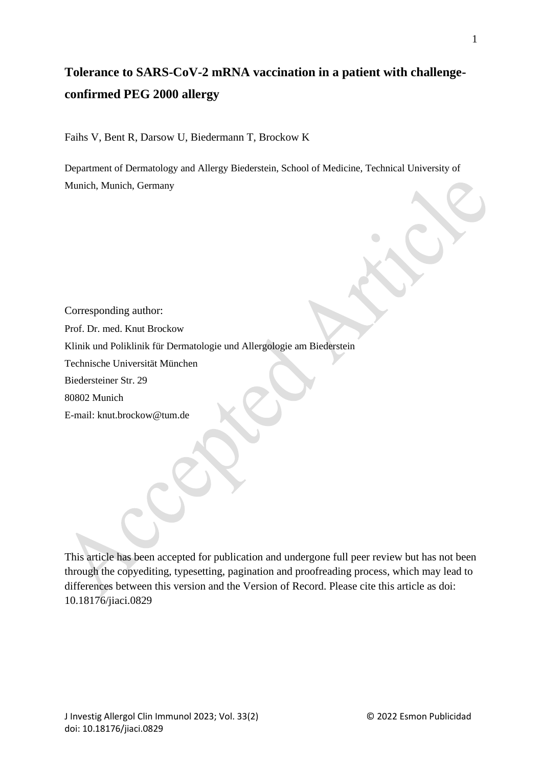# **Tolerance to SARS-CoV-2 mRNA vaccination in a patient with challengeconfirmed PEG 2000 allergy**

Faihs V, Bent R, Darsow U, Biedermann T, Brockow K

Department of Dermatology and Allergy Biederstein, School of Medicine, Technical University of Munich, Munich, Germany

Corresponding author: Prof. Dr. med. Knut Brockow Klinik und Poliklinik für Dermatologie und Allergologie am Biederstein Technische Universität München Biedersteiner Str. 29 80802 Munich

E-mail: knut.brockow@tum.de

This article has been accepted for publication and undergone full peer review but has not been through the copyediting, typesetting, pagination and proofreading process, which may lead to differences between this version and the Version of Record. Please cite this article as doi: 10.18176/jiaci.0829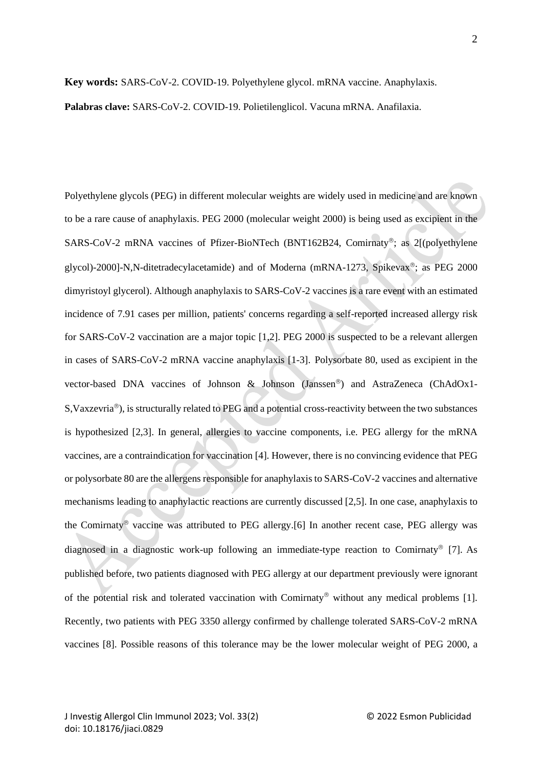#### **Key words:** SARS-CoV-2. COVID-19. Polyethylene glycol. mRNA vaccine. Anaphylaxis.

**Palabras clave:** SARS-CoV-2. COVID-19. Polietilenglicol. Vacuna mRNA. Anafilaxia.

Polyethylene glycols (PEG) in different molecular weights are widely used in medicine and are known to be a rare cause of anaphylaxis. PEG 2000 (molecular weight 2000) is being used as excipient in the SARS-CoV-2 mRNA vaccines of Pfizer-BioNTech (BNT162B24, Comirnaty®; as 2[(polyethylene glycol)-2000]-N,N-ditetradecylacetamide) and of Moderna (mRNA-1273, Spikevax®; as PEG 2000 dimyristoyl glycerol). Although anaphylaxis to SARS-CoV-2 vaccines is a rare event with an estimated incidence of 7.91 cases per million, patients' concerns regarding a self-reported increased allergy risk for SARS-CoV-2 vaccination are a major topic [1,2]. PEG 2000 is suspected to be a relevant allergen in cases of SARS-CoV-2 mRNA vaccine anaphylaxis [1-3]. Polysorbate 80, used as excipient in the vector-based DNA vaccines of Johnson & Johnson (Janssen®) and AstraZeneca (ChAdOx1-S, Vaxzevria®), is structurally related to PEG and a potential cross-reactivity between the two substances is hypothesized [2,3]. In general, allergies to vaccine components, i.e. PEG allergy for the mRNA vaccines, are a contraindication for vaccination [4]. However, there is no convincing evidence that PEG or polysorbate 80 are the allergens responsible for anaphylaxis to SARS-CoV-2 vaccines and alternative mechanisms leading to anaphylactic reactions are currently discussed [2,5]. In one case, anaphylaxis to the Comirnaty® vaccine was attributed to PEG allergy.[6] In another recent case, PEG allergy was diagnosed in a diagnostic work-up following an immediate-type reaction to Comirnaty<sup>®</sup> [7]. As published before, two patients diagnosed with PEG allergy at our department previously were ignorant of the potential risk and tolerated vaccination with Comirnaty<sup>®</sup> without any medical problems [1]. Recently, two patients with PEG 3350 allergy confirmed by challenge tolerated SARS-CoV-2 mRNA vaccines [8]. Possible reasons of this tolerance may be the lower molecular weight of PEG 2000, a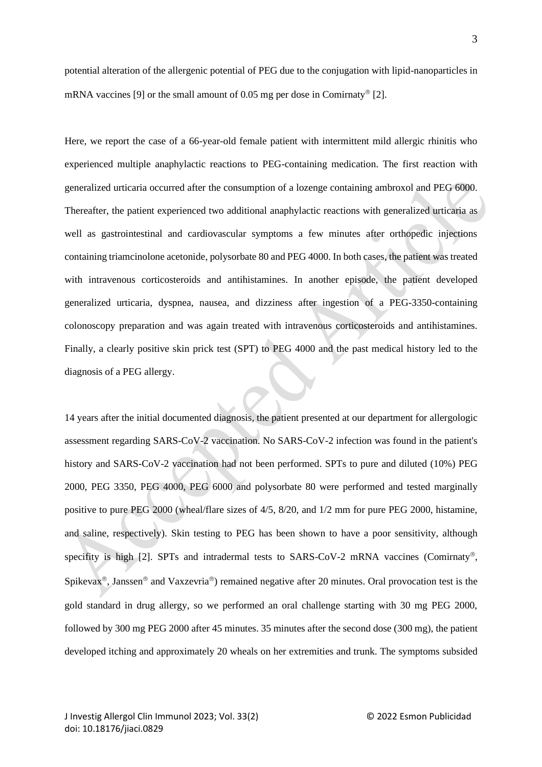potential alteration of the allergenic potential of PEG due to the conjugation with lipid-nanoparticles in mRNA vaccines [9] or the small amount of 0.05 mg per dose in Comirnaty<sup>®</sup> [2].

Here, we report the case of a 66-year-old female patient with intermittent mild allergic rhinitis who experienced multiple anaphylactic reactions to PEG-containing medication. The first reaction with generalized urticaria occurred after the consumption of a lozenge containing ambroxol and PEG 6000. Thereafter, the patient experienced two additional anaphylactic reactions with generalized urticaria as well as gastrointestinal and cardiovascular symptoms a few minutes after orthopedic injections containing triamcinolone acetonide, polysorbate 80 and PEG 4000. In both cases, the patient was treated with intravenous corticosteroids and antihistamines. In another episode, the patient developed generalized urticaria, dyspnea, nausea, and dizziness after ingestion of a PEG-3350-containing colonoscopy preparation and was again treated with intravenous corticosteroids and antihistamines. Finally, a clearly positive skin prick test (SPT) to PEG 4000 and the past medical history led to the diagnosis of a PEG allergy.

14 years after the initial documented diagnosis, the patient presented at our department for allergologic assessment regarding SARS-CoV-2 vaccination. No SARS-CoV-2 infection was found in the patient's history and SARS-CoV-2 vaccination had not been performed. SPTs to pure and diluted (10%) PEG 2000, PEG 3350, PEG 4000, PEG 6000 and polysorbate 80 were performed and tested marginally positive to pure PEG 2000 (wheal/flare sizes of 4/5, 8/20, and 1/2 mm for pure PEG 2000, histamine, and saline, respectively). Skin testing to PEG has been shown to have a poor sensitivity, although specifity is high  $[2]$ . SPTs and intradermal tests to SARS-CoV-2 mRNA vaccines (Comirnaty®, Spikevax<sup>®</sup>, Janssen<sup>®</sup> and Vaxzevria<sup>®</sup>) remained negative after 20 minutes. Oral provocation test is the gold standard in drug allergy, so we performed an oral challenge starting with 30 mg PEG 2000, followed by 300 mg PEG 2000 after 45 minutes. 35 minutes after the second dose (300 mg), the patient developed itching and approximately 20 wheals on her extremities and trunk. The symptoms subsided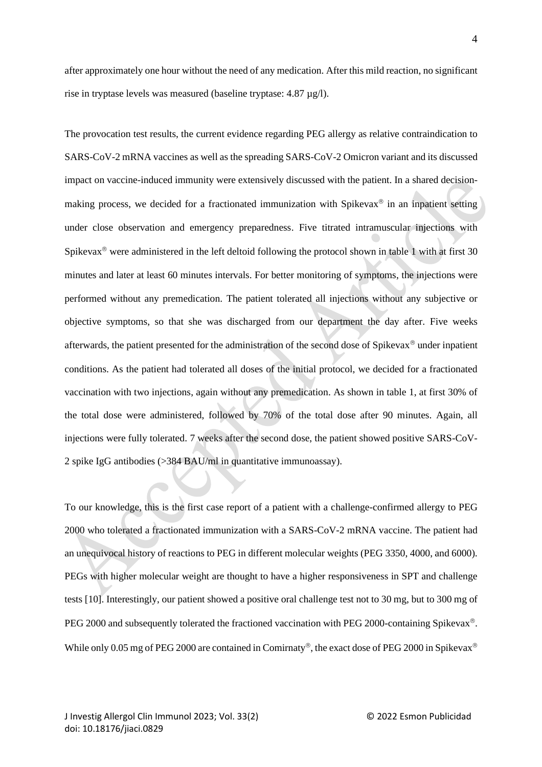after approximately one hour without the need of any medication. After this mild reaction, no significant rise in tryptase levels was measured (baseline tryptase: 4.87 µg/l).

The provocation test results, the current evidence regarding PEG allergy as relative contraindication to SARS-CoV-2 mRNA vaccines as well as the spreading SARS-CoV-2 Omicron variant and its discussed impact on vaccine-induced immunity were extensively discussed with the patient. In a shared decisionmaking process, we decided for a fractionated immunization with Spikevax $\mathscr{B}$  in an inpatient setting under close observation and emergency preparedness. Five titrated intramuscular injections with Spikevax<sup>®</sup> were administered in the left deltoid following the protocol shown in table 1 with at first 30 minutes and later at least 60 minutes intervals. For better monitoring of symptoms, the injections were performed without any premedication. The patient tolerated all injections without any subjective or objective symptoms, so that she was discharged from our department the day after. Five weeks afterwards, the patient presented for the administration of the second dose of Spikevax<sup>®</sup> under inpatient conditions. As the patient had tolerated all doses of the initial protocol, we decided for a fractionated vaccination with two injections, again without any premedication. As shown in table 1, at first 30% of the total dose were administered, followed by 70% of the total dose after 90 minutes. Again, all injections were fully tolerated. 7 weeks after the second dose, the patient showed positive SARS-CoV-2 spike IgG antibodies (>384 BAU/ml in quantitative immunoassay).

To our knowledge, this is the first case report of a patient with a challenge-confirmed allergy to PEG 2000 who tolerated a fractionated immunization with a SARS-CoV-2 mRNA vaccine. The patient had an unequivocal history of reactions to PEG in different molecular weights (PEG 3350, 4000, and 6000). PEGs with higher molecular weight are thought to have a higher responsiveness in SPT and challenge tests [10]. Interestingly, our patient showed a positive oral challenge test not to 30 mg, but to 300 mg of PEG 2000 and subsequently tolerated the fractioned vaccination with PEG 2000-containing Spikevax<sup>®</sup>. While only 0.05 mg of PEG 2000 are contained in Comirnaty<sup>®</sup>, the exact dose of PEG 2000 in Spikevax<sup>®</sup>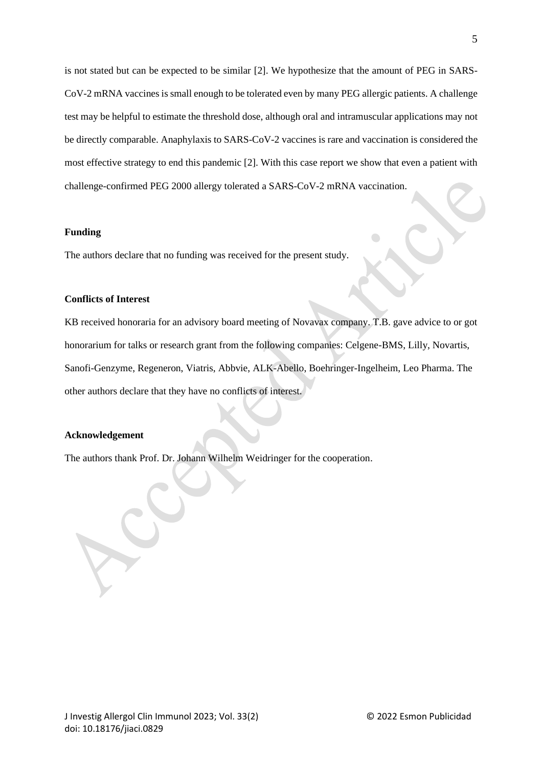is not stated but can be expected to be similar [2]. We hypothesize that the amount of PEG in SARS-CoV-2 mRNA vaccines is small enough to be tolerated even by many PEG allergic patients. A challenge test may be helpful to estimate the threshold dose, although oral and intramuscular applications may not be directly comparable. Anaphylaxis to SARS-CoV-2 vaccines is rare and vaccination is considered the most effective strategy to end this pandemic [2]. With this case report we show that even a patient with challenge-confirmed PEG 2000 allergy tolerated a SARS-CoV-2 mRNA vaccination.

#### **Funding**

The authors declare that no funding was received for the present study.

### **Conflicts of Interest**

KB received honoraria for an advisory board meeting of Novavax company. T.B. gave advice to or got honorarium for talks or research grant from the following companies: Celgene-BMS, Lilly, Novartis, Sanofi-Genzyme, Regeneron, Viatris, Abbvie, ALK-Abello, Boehringer-Ingelheim, Leo Pharma. The other authors declare that they have no conflicts of interest.

## **Acknowledgement**

The authors thank Prof. Dr. Johann Wilhelm Weidringer for the cooperation.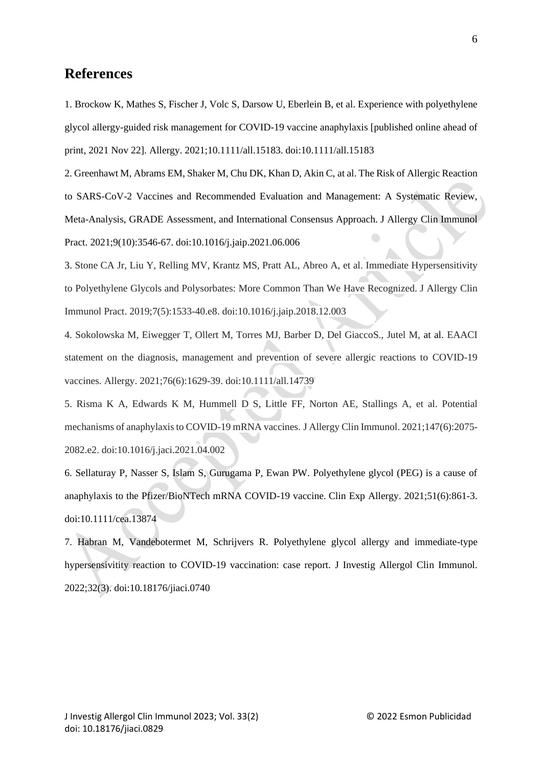# **References**

1. Brockow K, Mathes S, Fischer J, Volc S, Darsow U, Eberlein B, et al. Experience with polyethylene glycol allergy-guided risk management for COVID-19 vaccine anaphylaxis [published online ahead of print, 2021 Nov 22]. Allergy. 2021;10.1111/all.15183. doi:10.1111/all.15183

2. Greenhawt M, Abrams EM, Shaker M, Chu DK, Khan D, Akin C, at al. The Risk of Allergic Reaction to SARS-CoV-2 Vaccines and Recommended Evaluation and Management: A Systematic Review, Meta-Analysis, GRADE Assessment, and International Consensus Approach. J Allergy Clin Immunol Pract. 2021;9(10):3546-67. doi:10.1016/j.jaip.2021.06.006

3. Stone CA Jr, Liu Y, Relling MV, Krantz MS, Pratt AL, Abreo A, et al. Immediate Hypersensitivity to Polyethylene Glycols and Polysorbates: More Common Than We Have Recognized. J Allergy Clin Immunol Pract. 2019;7(5):1533-40.e8. doi:10.1016/j.jaip.2018.12.003

4. Sokolowska M, Eiwegger T, Ollert M, Torres MJ, Barber D, Del GiaccoS., Jutel M, at al. EAACI statement on the diagnosis, management and prevention of severe allergic reactions to COVID-19 vaccines. Allergy. 2021;76(6):1629-39. doi:10.1111/all.14739

5. Risma K A, Edwards K M, Hummell D S, Little FF, Norton AE, Stallings A, et al. Potential mechanisms of anaphylaxis to COVID-19 mRNA vaccines. J Allergy Clin Immunol. 2021;147(6):2075- 2082.e2. doi:10.1016/j.jaci.2021.04.002

6. Sellaturay P, Nasser S, Islam S, Gurugama P, Ewan PW. Polyethylene glycol (PEG) is a cause of anaphylaxis to the Pfizer/BioNTech mRNA COVID-19 vaccine. Clin Exp Allergy. 2021;51(6):861-3. doi:10.1111/cea.13874

7. Habran M, Vandebotermet M, Schrijvers R. Polyethylene glycol allergy and immediate-type hypersensivitity reaction to COVID-19 vaccination: case report. J Investig Allergol Clin Immunol. 2022;32(3). doi:10.18176/jiaci.0740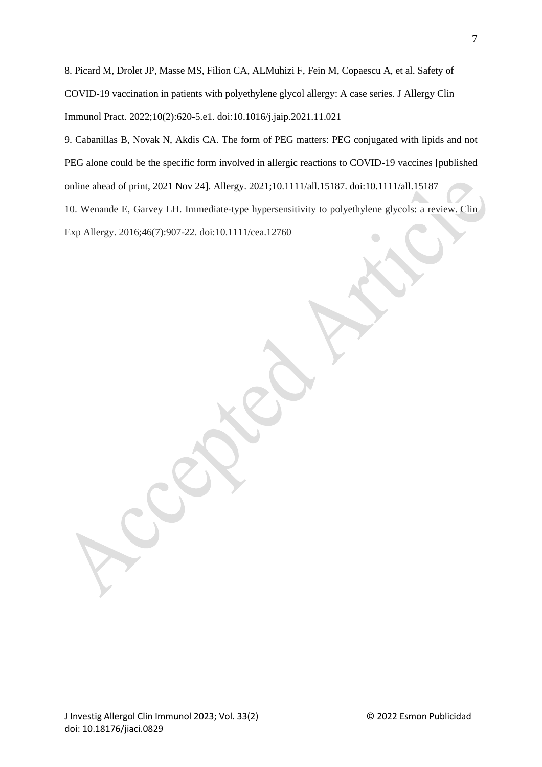8. Picard M, Drolet JP, Masse MS, Filion CA, ALMuhizi F, Fein M, Copaescu A, et al. Safety of COVID-19 vaccination in patients with polyethylene glycol allergy: A case series. J Allergy Clin Immunol Pract. 2022;10(2):620-5.e1. doi:10.1016/j.jaip.2021.11.021

9. Cabanillas B, Novak N, Akdis CA. The form of PEG matters: PEG conjugated with lipids and not PEG alone could be the specific form involved in allergic reactions to COVID-19 vaccines [published online ahead of print, 2021 Nov 24]. Allergy. 2021;10.1111/all.15187. doi:10.1111/all.15187 10. Wenande E, Garvey LH. Immediate-type hypersensitivity to polyethylene glycols: a review. Clin

Exp Allergy. 2016;46(7):907-22. doi:10.1111/cea.12760